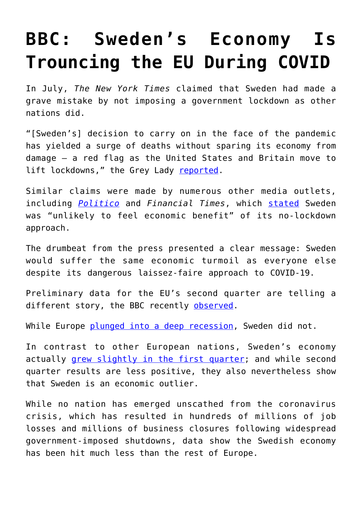## **[BBC: Sweden's Economy Is](https://intellectualtakeout.org/2020/08/bbc-swedens-economy-is-trouncing-the-eu-during-covid/) [Trouncing the EU During COVID](https://intellectualtakeout.org/2020/08/bbc-swedens-economy-is-trouncing-the-eu-during-covid/)**

In July, *The New York Times* claimed that Sweden had made a grave mistake by not imposing a government lockdown as other nations did.

"[Sweden's] decision to carry on in the face of the pandemic has yielded a surge of deaths without sparing its economy from damage — a red flag as the United States and Britain move to lift lockdowns," the Grey Lady [reported](https://www.nytimes.com/2020/07/07/business/sweden-economy-coronavirus.html).

Similar claims were made by numerous other media outlets, including *[Politico](https://www.politico.eu/article/swedens-cant-escape-economic-hit-with-covid-19-light-touch/)* and *Financial Times*, which [stated](https://www.ft.com/content/93105160-dcb4-4721-9e58-a7b262cd4b6e) Sweden was "unlikely to feel economic benefit" of its no-lockdown approach.

The drumbeat from the press presented a clear message: Sweden would suffer the same economic turmoil as everyone else despite its dangerous laissez-faire approach to COVID-19.

Preliminary data for the EU's second quarter are telling a different story, the BBC recently [observed.](https://www.bbc.com/news/business-53664354)

While Europe [plunged into a deep recession,](https://www.wsj.com/articles/eurozone-economy-contracts-by-record-40-11596191720) Sweden did not.

In contrast to other European nations, Sweden's economy actually [grew slightly in the first quarter](https://fee.org/articles/sweden-sees-economic-growth-in-1st-quarter-despite-global-pandemic/); and while second quarter results are less positive, they also nevertheless show that Sweden is an economic outlier.

While no nation has emerged unscathed from the coronavirus crisis, which has resulted in hundreds of millions of job losses and millions of business closures following widespread government-imposed shutdowns, data show the Swedish economy has been hit much less than the rest of Europe.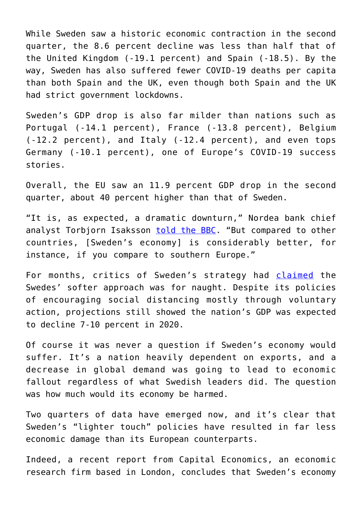While Sweden saw a historic economic contraction in the second quarter, the 8.6 percent decline was less than half that of the United Kingdom (-19.1 percent) and Spain (-18.5). By the way, Sweden has also suffered fewer COVID-19 deaths per capita than both Spain and the UK, even though both Spain and the UK had strict government lockdowns.

Sweden's GDP drop is also far milder than nations such as Portugal (-14.1 percent), France (-13.8 percent), Belgium (-12.2 percent), and Italy (-12.4 percent), and even tops Germany (-10.1 percent), one of Europe's COVID-19 success stories.

Overall, the EU saw an 11.9 percent GDP drop in the second quarter, about 40 percent higher than that of Sweden.

"It is, as expected, a dramatic downturn," Nordea bank chief analyst Torbjorn Isaksson [told the BBC](https://www.bbc.com/news/business-53606101). "But compared to other countries, [Sweden's economy] is considerably better, for instance, if you compare to southern Europe."

For months, critics of Sweden's strategy had [claimed](https://www.cnbc.com/2020/04/30/coronavirus-sweden-economy-to-contract-as-severely-as-the-rest-of-europe.html) the Swedes' softer approach was for naught. Despite its policies of encouraging social distancing mostly through voluntary action, projections still showed the nation's GDP was expected to decline 7-10 percent in 2020.

Of course it was never a question if Sweden's economy would suffer. It's a nation heavily dependent on exports, and a decrease in global demand was going to lead to economic fallout regardless of what Swedish leaders did. The question was how much would its economy be harmed.

Two quarters of data have emerged now, and it's clear that Sweden's "lighter touch" policies have resulted in far less economic damage than its European counterparts.

Indeed, a recent report from Capital Economics, an economic research firm based in London, concludes that Sweden's economy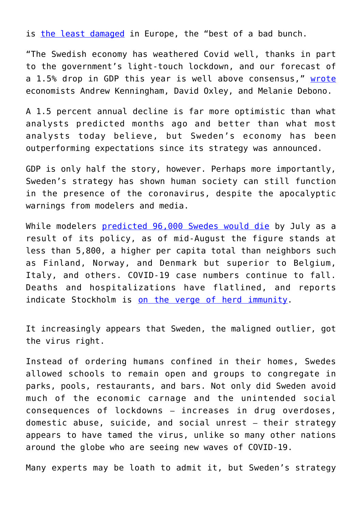is [the least damaged](https://markets.businessinsider.com/news/stocks/sweden-coronavirus-economy-relaxed-lockdown-stronger-rest-of-europe-2020-7-1029415101) in Europe, the "best of a bad bunch.

"The Swedish economy has weathered Covid well, thanks in part to the government's light-touch lockdown, and our forecast of a 1.5% drop in GDP this year is well above consensus," [wrote](https://research.cdn-1.capitaleconomics.com/e877f9/nordics-set-for-shallowest-recessions-in-europe.pdf) economists Andrew Kenningham, David Oxley, and Melanie Debono.

A 1.5 percent annual decline is far more optimistic than what analysts predicted months ago and better than what most analysts today believe, but Sweden's economy has been outperforming expectations since its strategy was announced.

GDP is only half the story, however. Perhaps more importantly, Sweden's strategy has shown human society can still function in the presence of the coronavirus, despite the apocalyptic warnings from modelers and media.

While modelers [predicted 96,000 Swedes would die](https://fee.org/articles/sweden-s-actual-covid-19-results-compared-to-what-modelers-predicted-in-april/) by July as a result of its policy, as of mid-August the figure stands at less than 5,800, a higher per capita total than neighbors such as Finland, Norway, and Denmark but superior to Belgium, Italy, and others. COVID-19 case numbers continue to fall. Deaths and hospitalizations have flatlined, and reports indicate Stockholm is [on the verge of herd immunity.](https://www.dailymail.co.uk/news/article-8607731/Why-Sweden-pilloried-world-refusing-lock-having-laugh.html)

It increasingly appears that Sweden, the maligned outlier, got the virus right.

Instead of ordering humans confined in their homes, Swedes allowed schools to remain open and groups to congregate in parks, pools, restaurants, and bars. Not only did Sweden avoid much of the economic carnage and the unintended social consequences of lockdowns – increases in drug overdoses, domestic abuse, suicide, and social unrest – their strategy appears to have tamed the virus, unlike so many other nations around the globe who are seeing new waves of COVID-19.

Many experts may be loath to admit it, but Sweden's strategy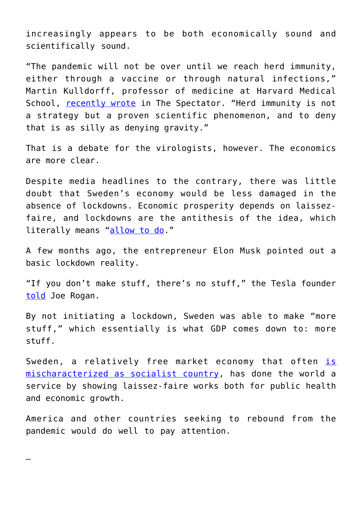increasingly appears to be both economically sound and scientifically sound.

"The pandemic will not be over until we reach herd immunity, either through a vaccine or through natural infections," Martin Kulldorff, professor of medicine at Harvard Medical School, [recently wrote](https://www.spectator.co.uk/article/herd-immunity-is-still-key-in-the-fight-against-covid-19) in The Spectator. "Herd immunity is not a strategy but a proven scientific phenomenon, and to deny that is as silly as denying gravity."

That is a debate for the virologists, however. The economics are more clear.

Despite media headlines to the contrary, there was little doubt that Sweden's economy would be less damaged in the absence of lockdowns. Economic prosperity depends on laissezfaire, and lockdowns are the antithesis of the idea, which literally means "[allow to do](https://www.vocabulary.com/dictionary/laissez%20faire)."

A few months ago, the entrepreneur Elon Musk pointed out a basic lockdown reality.

"If you don't make stuff, there's no stuff," the Tesla founder [told](https://fee.org/articles/elon-musk-s-economic-truth-bomb-to-joe-rogan/) Joe Rogan.

By not initiating a lockdown, Sweden was able to make "more stuff," which essentially is what GDP comes down to: more stuff.

Sweden, a relatively free market economy that often [is](https://fee.org/articles/the-myth-of-scandinavian-socialism/) [mischaracterized as socialist country](https://fee.org/articles/the-myth-of-scandinavian-socialism/), has done the world a service by showing laissez-faire works both for public health and economic growth.

America and other countries seeking to rebound from the pandemic would do well to pay attention.

—